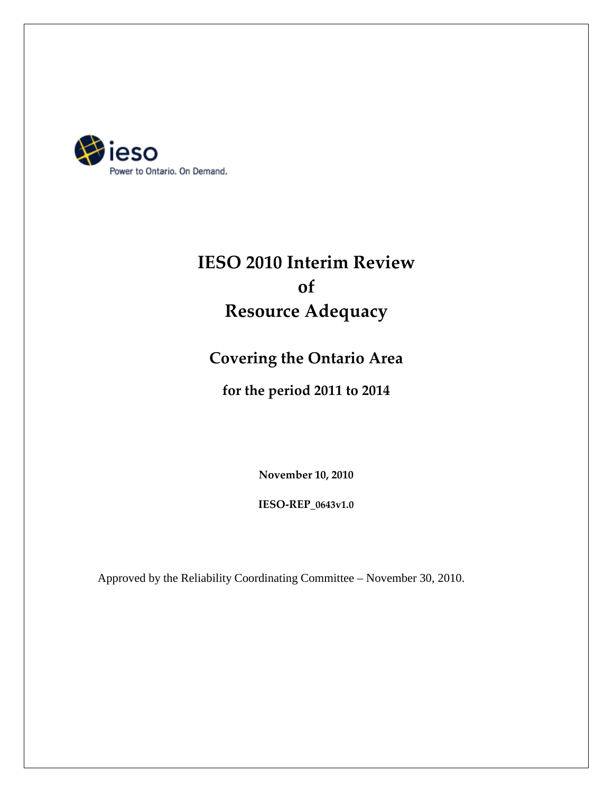

# **IESO 2010 Interim Review of Resource Adequacy**

# **Covering the Ontario Area**

**for the period 2011 to 2014** 

**November 10, 2010** 

**IESO-REP\_0643v1.0**

Approved by the Reliability Coordinating Committee – November 30, 2010.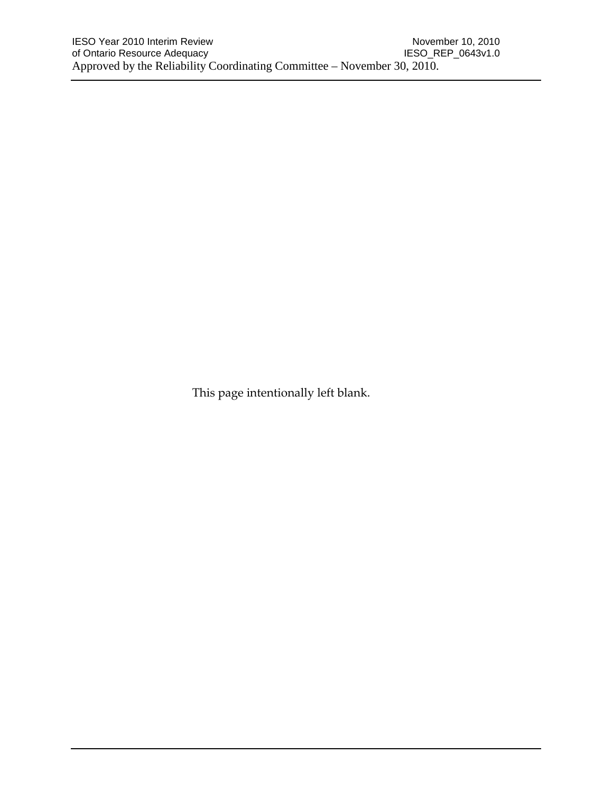This page intentionally left blank.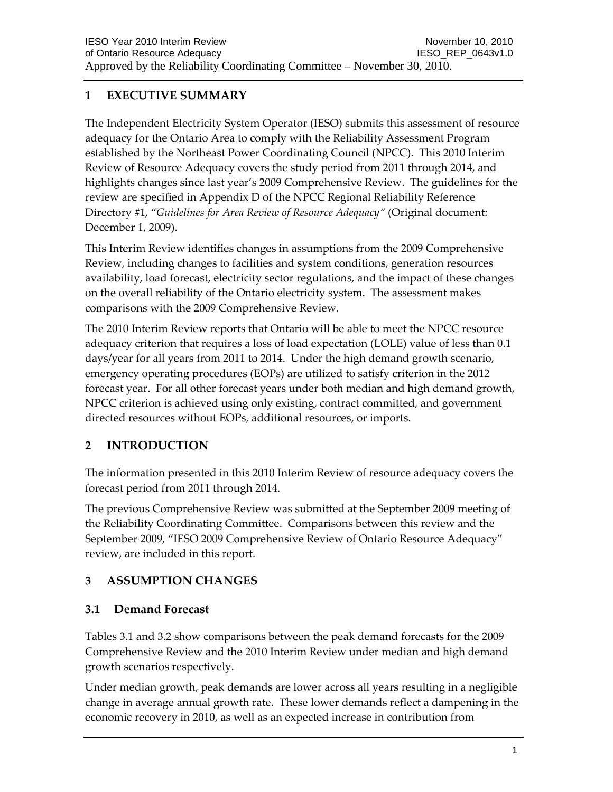# **1 EXECUTIVE SUMMARY**

The Independent Electricity System Operator (IESO) submits this assessment of resource adequacy for the Ontario Area to comply with the Reliability Assessment Program established by the Northeast Power Coordinating Council (NPCC). This 2010 Interim Review of Resource Adequacy covers the study period from 2011 through 2014, and highlights changes since last year's 2009 Comprehensive Review. The guidelines for the review are specified in Appendix D of the NPCC Regional Reliability Reference Directory #1, "*Guidelines for Area Review of Resource Adequacy"* (Original document: December 1, 2009).

This Interim Review identifies changes in assumptions from the 2009 Comprehensive Review, including changes to facilities and system conditions, generation resources availability, load forecast, electricity sector regulations, and the impact of these changes on the overall reliability of the Ontario electricity system. The assessment makes comparisons with the 2009 Comprehensive Review.

The 2010 Interim Review reports that Ontario will be able to meet the NPCC resource adequacy criterion that requires a loss of load expectation (LOLE) value of less than 0.1 days/year for all years from 2011 to 2014. Under the high demand growth scenario, emergency operating procedures (EOPs) are utilized to satisfy criterion in the 2012 forecast year. For all other forecast years under both median and high demand growth, NPCC criterion is achieved using only existing, contract committed, and government directed resources without EOPs, additional resources, or imports.

# **2 INTRODUCTION**

The information presented in this 2010 Interim Review of resource adequacy covers the forecast period from 2011 through 2014.

The previous Comprehensive Review was submitted at the September 2009 meeting of the Reliability Coordinating Committee. Comparisons between this review and the September 2009, "IESO 2009 Comprehensive Review of Ontario Resource Adequacy" review, are included in this report.

# **3 ASSUMPTION CHANGES**

# **3.1 Demand Forecast**

I

Tables 3.1 and 3.2 show comparisons between the peak demand forecasts for the 2009 Comprehensive Review and the 2010 Interim Review under median and high demand growth scenarios respectively.

Under median growth, peak demands are lower across all years resulting in a negligible change in average annual growth rate. These lower demands reflect a dampening in the economic recovery in 2010, as well as an expected increase in contribution from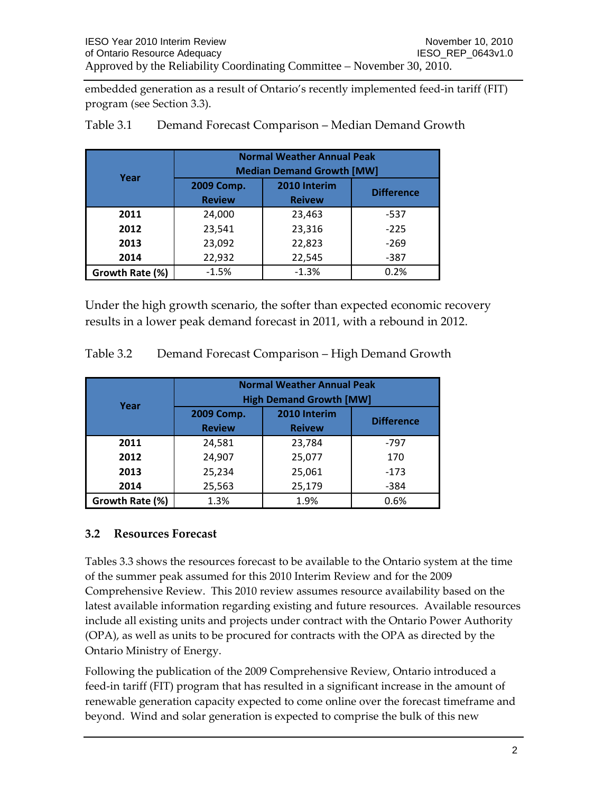embedded generation as a result of Ontario's recently implemented feed-in tariff (FIT) program (see Section 3.3).

|                 | <b>Normal Weather Annual Peak</b><br><b>Median Demand Growth [MW]</b> |                               |                   |  |
|-----------------|-----------------------------------------------------------------------|-------------------------------|-------------------|--|
| Year            | 2009 Comp.<br><b>Review</b>                                           | 2010 Interim<br><b>Reivew</b> | <b>Difference</b> |  |
| 2011            | 24,000                                                                | 23,463                        | $-537$            |  |
| 2012            | 23,541                                                                | 23,316                        | $-225$            |  |
| 2013            | 23,092                                                                | 22,823                        | $-269$            |  |
| 2014            | 22,932                                                                | 22,545                        | $-387$            |  |
| Growth Rate (%) | $-1.5%$                                                               | $-1.3%$                       | 0.2%              |  |

#### Table 3.1 Demand Forecast Comparison – Median Demand Growth

Under the high growth scenario, the softer than expected economic recovery results in a lower peak demand forecast in 2011, with a rebound in 2012.

|                 | <b>Normal Weather Annual Peak</b> |              |                   |  |
|-----------------|-----------------------------------|--------------|-------------------|--|
| Year            | <b>High Demand Growth [MW]</b>    |              |                   |  |
|                 | 2009 Comp.                        | 2010 Interim |                   |  |
|                 | <b>Review</b><br><b>Reivew</b>    |              | <b>Difference</b> |  |
| 2011            | 24,581                            | 23,784       | -797              |  |
| 2012            | 24,907                            | 25,077       | 170               |  |
| 2013            | 25,234                            | 25,061       | $-173$            |  |
| 2014            | 25,563                            | 25,179       | $-384$            |  |
| Growth Rate (%) | 1.3%                              | 1.9%         | 0.6%              |  |

#### Table 3.2 Demand Forecast Comparison – High Demand Growth

#### **3.2 Resources Forecast**

I

Tables 3.3 shows the resources forecast to be available to the Ontario system at the time of the summer peak assumed for this 2010 Interim Review and for the 2009 Comprehensive Review. This 2010 review assumes resource availability based on the latest available information regarding existing and future resources. Available resources include all existing units and projects under contract with the Ontario Power Authority (OPA), as well as units to be procured for contracts with the OPA as directed by the Ontario Ministry of Energy.

Following the publication of the 2009 Comprehensive Review, Ontario introduced a feed-in tariff (FIT) program that has resulted in a significant increase in the amount of renewable generation capacity expected to come online over the forecast timeframe and beyond. Wind and solar generation is expected to comprise the bulk of this new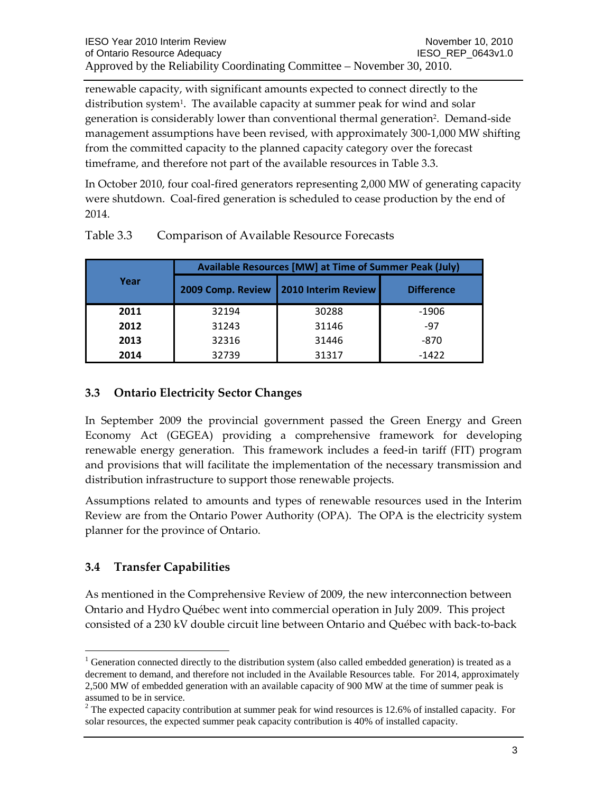renewable capacity, with significant amounts expected to connect directly to the distribution system<sup>1</sup>. The available capacity at summer peak for wind and solar generation is considerably lower than conventional thermal generation<sup>2</sup>. Demand-side management assumptions have been revised, with approximately 300-1,000 MW shifting from the committed capacity to the planned capacity category over the forecast timeframe, and therefore not part of the available resources in Table 3.3.

In October 2010, four coal-fired generators representing 2,000 MW of generating capacity were shutdown. Coal-fired generation is scheduled to cease production by the end of 2014.

|      | Available Resources [MW] at Time of Summer Peak (July) |                                         |                   |  |
|------|--------------------------------------------------------|-----------------------------------------|-------------------|--|
| Year |                                                        | 2009 Comp. Review   2010 Interim Review | <b>Difference</b> |  |
| 2011 | 32194                                                  | 30288                                   | $-1906$           |  |
| 2012 | 31243                                                  | 31146                                   | $-97$             |  |
| 2013 | 32316                                                  | 31446                                   | $-870$            |  |
| 2014 | 32739                                                  | 31317                                   | $-1422$           |  |

#### Table 3.3 Comparison of Available Resource Forecasts

# **3.3 Ontario Electricity Sector Changes**

In September 2009 the provincial government passed the Green Energy and Green Economy Act (GEGEA) providing a comprehensive framework for developing renewable energy generation. This framework includes a feed-in tariff (FIT) program and provisions that will facilitate the implementation of the necessary transmission and distribution infrastructure to support those renewable projects.

Assumptions related to amounts and types of renewable resources used in the Interim Review are from the Ontario Power Authority (OPA). The OPA is the electricity system planner for the province of Ontario.

# **3.4 Transfer Capabilities**

I

 $\overline{a}$ 

As mentioned in the Comprehensive Review of 2009, the new interconnection between Ontario and Hydro Québec went into commercial operation in July 2009. This project consisted of a 230 kV double circuit line between Ontario and Québec with back-to-back

 $1$  Generation connected directly to the distribution system (also called embedded generation) is treated as a decrement to demand, and therefore not included in the Available Resources table. For 2014, approximately 2,500 MW of embedded generation with an available capacity of 900 MW at the time of summer peak is assumed to be in service.

<sup>&</sup>lt;sup>2</sup> The expected capacity contribution at summer peak for wind resources is 12.6% of installed capacity. For solar resources, the expected summer peak capacity contribution is 40% of installed capacity.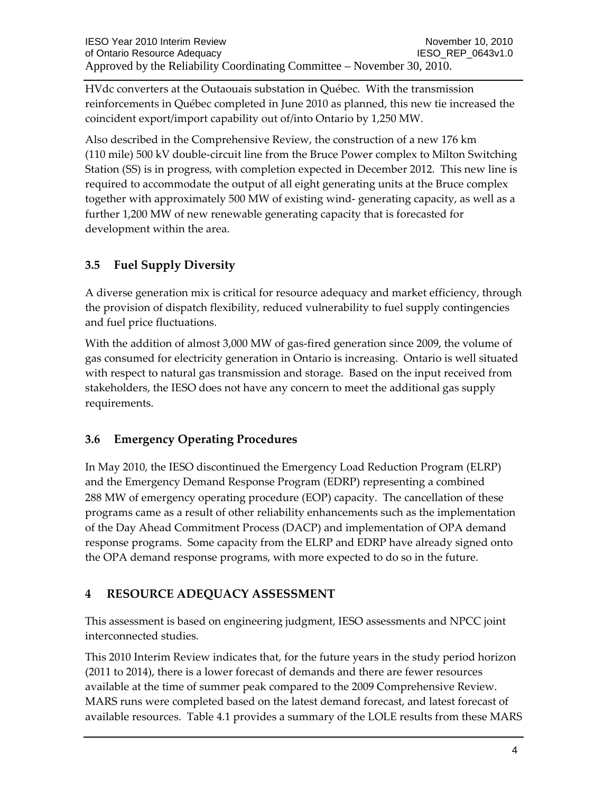HVdc converters at the Outaouais substation in Québec. With the transmission reinforcements in Québec completed in June 2010 as planned, this new tie increased the coincident export/import capability out of/into Ontario by 1,250 MW.

Also described in the Comprehensive Review, the construction of a new 176 km (110 mile) 500 kV double-circuit line from the Bruce Power complex to Milton Switching Station (SS) is in progress, with completion expected in December 2012. This new line is required to accommodate the output of all eight generating units at the Bruce complex together with approximately 500 MW of existing wind- generating capacity, as well as a further 1,200 MW of new renewable generating capacity that is forecasted for development within the area.

# **3.5 Fuel Supply Diversity**

A diverse generation mix is critical for resource adequacy and market efficiency, through the provision of dispatch flexibility, reduced vulnerability to fuel supply contingencies and fuel price fluctuations.

With the addition of almost 3,000 MW of gas-fired generation since 2009, the volume of gas consumed for electricity generation in Ontario is increasing. Ontario is well situated with respect to natural gas transmission and storage. Based on the input received from stakeholders, the IESO does not have any concern to meet the additional gas supply requirements.

# **3.6 Emergency Operating Procedures**

In May 2010, the IESO discontinued the Emergency Load Reduction Program (ELRP) and the Emergency Demand Response Program (EDRP) representing a combined 288 MW of emergency operating procedure (EOP) capacity. The cancellation of these programs came as a result of other reliability enhancements such as the implementation of the Day Ahead Commitment Process (DACP) and implementation of OPA demand response programs. Some capacity from the ELRP and EDRP have already signed onto the OPA demand response programs, with more expected to do so in the future.

# **4 RESOURCE ADEQUACY ASSESSMENT**

I

This assessment is based on engineering judgment, IESO assessments and NPCC joint interconnected studies.

This 2010 Interim Review indicates that, for the future years in the study period horizon (2011 to 2014), there is a lower forecast of demands and there are fewer resources available at the time of summer peak compared to the 2009 Comprehensive Review. MARS runs were completed based on the latest demand forecast, and latest forecast of available resources. Table 4.1 provides a summary of the LOLE results from these MARS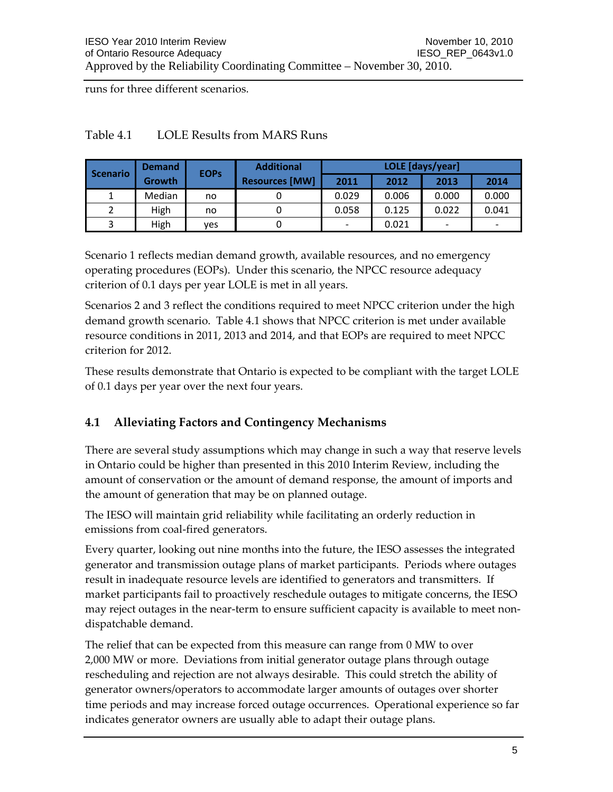runs for three different scenarios.

I

| Scenario | <b>Demand</b><br><b>EOPS</b> | <b>Additional</b> | LOLE [days/year]      |                          |       |       |                          |
|----------|------------------------------|-------------------|-----------------------|--------------------------|-------|-------|--------------------------|
|          | Growth                       |                   | <b>Resources [MW]</b> | 2011                     | 2012  | 2013  | 2014                     |
| 1        | Median                       | no                |                       | 0.029                    | 0.006 | 0.000 | 0.000                    |
|          | High                         | no                |                       | 0.058                    | 0.125 | 0.022 | 0.041                    |
|          | High                         | ves               |                       | $\overline{\phantom{a}}$ | 0.021 | ۰     | $\overline{\phantom{0}}$ |

## Table 4.1 LOLE Results from MARS Runs

Scenario 1 reflects median demand growth, available resources, and no emergency operating procedures (EOPs). Under this scenario, the NPCC resource adequacy criterion of 0.1 days per year LOLE is met in all years.

Scenarios 2 and 3 reflect the conditions required to meet NPCC criterion under the high demand growth scenario. Table 4.1 shows that NPCC criterion is met under available resource conditions in 2011, 2013 and 2014, and that EOPs are required to meet NPCC criterion for 2012.

These results demonstrate that Ontario is expected to be compliant with the target LOLE of 0.1 days per year over the next four years.

# **4.1 Alleviating Factors and Contingency Mechanisms**

There are several study assumptions which may change in such a way that reserve levels in Ontario could be higher than presented in this 2010 Interim Review, including the amount of conservation or the amount of demand response, the amount of imports and the amount of generation that may be on planned outage.

The IESO will maintain grid reliability while facilitating an orderly reduction in emissions from coal-fired generators.

Every quarter, looking out nine months into the future, the IESO assesses the integrated generator and transmission outage plans of market participants. Periods where outages result in inadequate resource levels are identified to generators and transmitters. If market participants fail to proactively reschedule outages to mitigate concerns, the IESO may reject outages in the near-term to ensure sufficient capacity is available to meet nondispatchable demand.

The relief that can be expected from this measure can range from 0 MW to over 2,000 MW or more. Deviations from initial generator outage plans through outage rescheduling and rejection are not always desirable. This could stretch the ability of generator owners/operators to accommodate larger amounts of outages over shorter time periods and may increase forced outage occurrences. Operational experience so far indicates generator owners are usually able to adapt their outage plans.